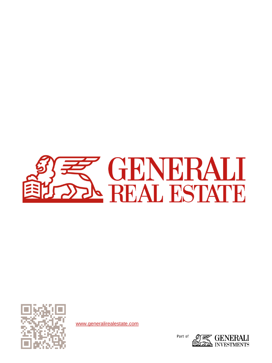



[www.generalirealestate.com](http://www.generali-investments.com/)

Part of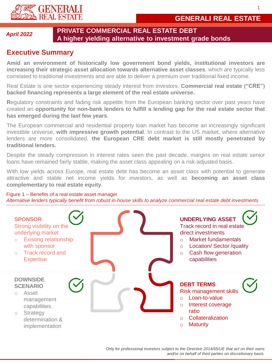

## **Executive Summary**

**Amid an environment of historically low government bond yields, institutional investors are increasing their strategic asset allocation towards alternative asset classes**, which are typically less correlated to traditional investments and are able to deliver a premium over traditional fixed income.

Real Estate is one sector experiencing steady interest from investors. **Commercial real estate ("CRE") backed financing represents a large element of the real estate universe.**

**R**egulatory constraints and fading risk appetite from the European banking sector over past years have created an **opportunity for non-bank lenders to fulfill a lending gap for the real estate sector that has emerged during the last few years**.

The European commercial and residential property loan market has become an increasingly significant investible universe, **with impressive growth potential**. In contrast to the US market, where alternative lenders are more consolidated, **the European CRE debt market is still mostly penetrated by traditional lenders.**

Despite the steady compression in interest rates seen the past decade, margins on real estate senior loans have remained fairly stable, making the asset class appealing on a risk-adjusted basis.

With low yields across Europe, real estate debt has become an asset class with potential to generate attractive and stable net income yields for investors, as well as **becoming an asset class complementary to real estate equity**.

Figure 1 – Benefits of a real estate asset manager *Alternative lenders typically benefit from robust in-house skills to analyze commercial real estate debt investments*



1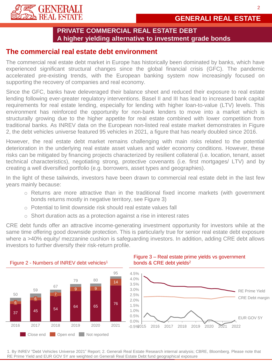

## **The commercial real estate debt environment**

The commercial real estate debt market in Europe has historically been dominated by banks, which have experienced significant structural changes since the global financial crisis (GFC). The pandemic accelerated pre-existing trends, with the European banking system now increasingly focused on supporting the recovery of companies and real economy.

Since the GFC, banks have deleveraged their balance sheet and reduced their exposure to real estate lending following ever-greater regulatory interventions. Basel II and III has lead to increased bank capital requirements for real estate lending, especially for lending with higher loan-to-value (LTV) levels. This environment has reinforced the opportunity for non-bank lenders to move into a market which is structurally growing due to the higher appetite for real estate combined with lower competition from traditional banks. As INREV data on the European non-listed real estate market demonstrates in Figure 2, the debt vehicles universe featured 95 vehicles in 2021, a figure that has nearly doubled since 2016.

However, the real estate debt market remains challenging with main risks related to the potential deterioration in the underlying real estate asset values and wider economy conditions. However, these risks can be mitigated by financing projects characterized by resilient collateral (i.e. location, tenant, asset technical characteristics), negotiating strong, protective covenants (i.e. first mortgages/ LTV) and by creating a well diversified portfolio (e.g. borrowers, asset types and geographies).

In the light of these tailwinds, investors have been drawn to commercial real estate debt in the last few years mainly because:

- o Returns are more attractive than in the traditional fixed income markets (with government bonds returns mostly in negative territory, see Figure 3)
- o Potential to limit downside risk should real estate values fall
- $\circ$  Short duration acts as a protection against a rise in interest rates

CRE debt funds offer an attractive income-generating investment opportunity for investors while at the same time offering good downside protection. This is particularly true for senior real estate debt exposure where a >40% equity/ mezzanine cushion is safeguarding investors. In addition, adding CRE debt allows investors to further diversify their risk-return profile.



### Figure 3 – Real estate prime yields vs government bonds & CRE debt yields<sup>2</sup>



1. By INREV "Debt Vehicles Universe 2021" Report; 2. Generali Real Estate Research internal analysis; CBRE, Bloomberg. Please note that RE Prime Yield and EUR GOV 5Y are weighted on Generali Real Estate Debt fund geographical exposure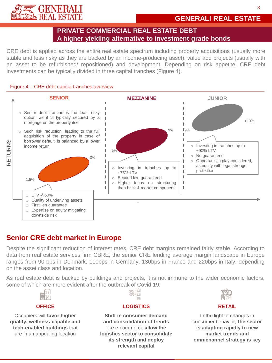

# **GENERALI REAL ESTATE**

## **PRIVATE COMMERCIAL REAL ESTATE DEBT A higher yielding alternative to investment grade bonds**

CRE debt is applied across the entire real estate spectrum including property acquisitions (usually more stable and less risky as they are backed by an income-producing asset), value add projects (usually with an asset to be refurbished/ repositioned) and development. Depending on risk appetite, CRE debt investments can be typically divided in three capital tranches (Figure 4).

#### Figure 4 – CRE debt capital tranches overview



# **Senior CRE debt market in Europe**

Despite the significant reduction of interest rates, CRE debt margins remained fairly stable. According to data from real estate services firm CBRE, the senior CRE lending average margin landscape in Europe ranges from 90 bps in Denmark, 110bps in Germany, 130bps in France and 220bps in Italy, depending on the asset class and location.

As real estate debt is backed by buildings and projects, it is not immune to the wider economic factors, some of which are more evident after the outbreak of Covid 19:<br>



#### **OFFICE**

Occupiers will **favor higher quality, wellness-capable and tech-enabled buildings** that are in an appealing location



#### **LOGISTICS**

**Shift in consumer demand and consolidation of trends** like e-commerce **allow the logistics sector to consolidate its strength and deploy relevant capital**



#### **RETAIL**

In the light of changes in consumer behavior, **the sector is adapting rapidly to new market trends and omnichannel strategy is key**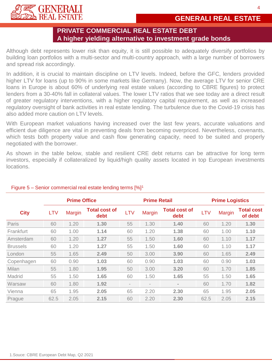

Although debt represents lower risk than equity, it is still possible to adequately diversify portfolios by building loan portfolios with a multi-sector and multi-country approach, with a large number of borrowers and spread risk accordingly.

In addition, it is crucial to maintain discipline on LTV levels. Indeed, before the GFC, lenders provided higher LTV for loans (up to 90% in some markets like Germany). Now, the average LTV for senior CRE loans in Europe is about 60% of underlying real estate values (according to CBRE figures) to protect lenders from a 30-40% fall in collateral values. The lower LTV ratios that we see today are a direct result of greater regulatory interventions, with a higher regulatory capital requirement, as well as increased regulatory oversight of bank activities in real estate lending. The turbulence due to the Covid-19 crisis has also added more caution on LTV levels.

With European market valuations having increased over the last few years, accurate valuations and efficient due diligence are vital in preventing deals from becoming overpriced. Nevertheless, covenants, which tests both property value and cash flow generating capacity, need to be suited and properly negotiated with the borrower.

As shown in the table below, stable and resilient CRE debt returns can be attractive for long term investors, especially if collateralized by liquid/high quality assets located in top European investments locations.

|                  | <b>Prime Office</b> |               |                              | <b>Prime Retail</b>      |                          |                              | <b>Prime Logistics</b> |               |                              |
|------------------|---------------------|---------------|------------------------------|--------------------------|--------------------------|------------------------------|------------------------|---------------|------------------------------|
| <b>City</b>      | <b>LTV</b>          | <b>Margin</b> | <b>Total cost of</b><br>debt | <b>LTV</b>               | <b>Margin</b>            | <b>Total cost of</b><br>debt | <b>LTV</b>             | <b>Margin</b> | <b>Total cost</b><br>of debt |
| Paris            | 60                  | 1.20          | 1.30                         | 55                       | 1.30                     | 1.40                         | 60                     | 1.20          | 1.30                         |
| <b>Frankfurt</b> | 60                  | 1.00          | 1.14                         | 60                       | 1.20                     | 1.38                         | 60                     | 1.00          | 1.10                         |
| Amsterdam        | 60                  | 1.20          | 1.27                         | 55                       | 1.50                     | 1.60                         | 60                     | 1.10          | 1.17                         |
| <b>Brussels</b>  | 60                  | 1.20          | 1.27                         | 55                       | 1.50                     | 1.60                         | 60                     | 1.10          | 1.17                         |
| London           | 55                  | 1.65          | 2.49                         | 50                       | 3.00                     | 3.90                         | 60                     | 1.65          | 2.49                         |
| Copenhagen       | 60                  | 0.90          | 1.03                         | 60                       | 0.90                     | 1.03                         | 60                     | 0.90          | 1.03                         |
| Milan            | 55                  | 1.80          | 1.95                         | 50                       | 3.00                     | 3.20                         | 60                     | 1.70          | 1.85                         |
| Madrid           | 55                  | 1.50          | 1.65                         | 60                       | 1.50                     | 1.65                         | 55                     | 1.50          | 1.65                         |
| Warsaw           | 60                  | 1.80          | 1.92                         | $\overline{\phantom{a}}$ | $\overline{\phantom{a}}$ | $\equiv$                     | 60                     | 1.70          | 1.82                         |
| Vienna           | 65                  | 1.95          | 2.05                         | 65                       | 2.20                     | 2.30                         | 65                     | 1.95          | 2.05                         |
| Prague           | 62.5                | 2.05          | 2.15                         | 60                       | 2.20                     | 2.30                         | 62.5                   | 2.05          | 2.15                         |

## Figure 5 – Senior commercial real estate lending terms [%]<sup>1</sup>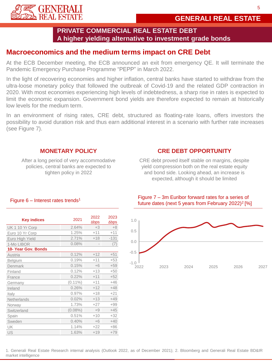

# **Macroeconomics and the medium terms impact on CRE Debt**

At the ECB December meeting, the ECB announced an exit from emergency QE. It will terminate the Pandemic Emergency Purchase Programme "PEPP" in March 2022.

In the light of recovering economies and higher inflation, central banks have started to withdraw from the ultra-loose monetary policy that followed the outbreak of Covid-19 and the related GDP contraction in 2020. With most economies experiencing high levels of indebtedness, a sharp rise in rates is expected to limit the economic expansion. Government bond yields are therefore expected to remain at historically low levels for the medium term.

In an environment of rising rates, CRE debt, structured as floating-rate loans, offers investors the possibility to avoid duration risk and thus earn additional interest in a scenario with further rate increases (see Figure 7).

## **MONETARY POLICY**

After a long period of very accommodative policies, central banks are expected to tighten policy in 2022

## **CRE DEBT OPPORTUNITY**

CRE debt proved itself stable on margins, despite yield compression both on the real estate equity and bond side. Looking ahead, an increase is expected, although it should be limited

| <b>Key indices</b>  | 2021       | 2022<br>$\Delta$ bps | 2023<br>$\Delta$ bps |
|---------------------|------------|----------------------|----------------------|
| UK 1 10 Yr Corp     | 2.64%      | $+3$                 | $+8$                 |
| Euro 10 Yr Corp     | 1.25%      | $+11$                | $+11$                |
| Euro High Yield     | 2.71%      | $+18$                | $-131$               |
| 1-Mo LIBOR          | 0.08%      |                      | (7)                  |
| 10- Year Gov. Bonds |            |                      |                      |
| Austria             | 0.12%      | $+12$                | $+51$                |
| Belgium             | 0.19%      | $+11$                | $+53$                |
| Denmark             | 0.15%      | $+6$                 | $+59$                |
| Finland             | 0.12%      | $+13$                | $+50$                |
| France              | 0.22%      | $+11$                | $+52$                |
| Germany             | $(0.11\%)$ | $+11$                | $+46$                |
| Ireland             | 0.26%      | $+12$                | $+48$                |
| Italy               | 0.97%      | $+18$                | $+21$                |
| Netherlands         | 0.02%      | $+13$                | $+49$                |
| Norway              | 1.73%      | $+27$                | $+99$                |
| Switzerland         | $(0.08\%)$ | $+9$                 | $+45$                |
| Spain               | 0.51%      | $+10$                | $+32$                |
| Sweden              | 0.40%      | $+6$                 | $+40$                |
| UK                  | 1.14%      | $+22$                | $+86$                |
| US                  | 1.63%      | $+19$                | $+79$                |

Figure  $6$  – Interest rates trends<sup>1</sup>



## Figure 7 – 3m Euribor forward rates for a series of future dates (next 5 years from February 2022)<sup>2</sup>[%]

1. Generali Real Estate Research internal analysis (Outlook 2022, as of December 2021); 2. Bloomberg and Generali Real Estate BD&IR market intelligence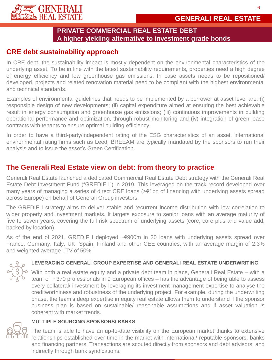



# **CRE debt sustainability approach**

In CRE debt, the sustainability impact is mostly dependent on the environmental characteristics of the underlying asset. To be in line with the latest sustainability requirements, properties need a high degree of energy efficiency and low greenhouse gas emissions. In case assets needs to be repositioned/ developed, projects and related renovation material need to be compliant with the highest environmental and technical standards.

Examples of environmental guidelines that needs to be implemented by a borrower at asset level are: (i) responsible design of new developments; (ii) capital expenditure aimed at ensuring the best achievable result in energy consumption and greenhouse gas emissions; (iii) continuous improvements in building operational performance and optimization, through robust monitoring and (iv) integration of green lease contracts with tenants to ensure optimal building efficiency.

In order to have a third-party/independent rating of the ESG characteristics of an asset, international environmental rating firms such as Leed, BREEAM are typically mandated by the sponsors to run their analysis and to issue the asset's Green Certification.

# **The Generali Real Estate view on debt: from theory to practice**

Generali Real Estate launched a dedicated Commercial Real Estate Debt strategy with the Generali Real Estate Debt Investment Fund ("GREDIF I") in 2019. This leveraged on the track record developed over many years of managing a series of direct CRE loans (>€1bn of financing with underlying assets spread across Europe) on behalf of Generali Group investors.

The GREDIF I strategy aims to deliver stable and recurrent income distribution with low correlation to wider property and investment markets. It targets exposure to senior loans with an average maturity of five to seven years, covering the full risk spectrum of underlying assets (core, core plus and value add, backed by location).

As of the end of 2021, GREDIF I deployed ~€900m in 20 loans with underlying assets spread over France, Germany, Italy, UK, Spain, Finland and other CEE countries, with an average margin of 2.3% and weighted average LTV of 50%.

## **LEVERAGING GENERALI GROUP EXPERTISE AND GENERALI REAL ESTATE UNDERWRITING**

With both a real estate equity and a private debt team in place, Generali Real Estate – with a team of ~370 professionals in 9 European offices – has the advantage of being able to assess every collateral/ investment by leveraging its investment management expertise to analyse the creditworthiness and robustness of the underlying project. For example, during the underwriting phase, the team's deep expertise in equity real estate allows them to understand if the sponsor business plan is based on sustainable/ reasonable assumptions and if asset valuation is coherent with market trends.

### **MULTIPLE SOURCING SPONSORS/ BANKS**



The team is able to have an up-to-date visibility on the European market thanks to extensive relationships established over time in the market with international/ reputable sponsors, banks and financing partners. Transactions are scouted directly from sponsors and debt advisors, and indirectly through bank syndications.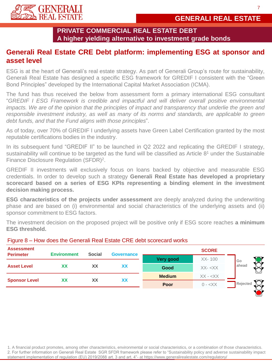

# **Generali Real Estate CRE Debt platform: implementing ESG at sponsor and asset level**

ESG is at the heart of Generali's real estate strategy. As part of Generali Group's route for sustainability, Generali Real Estate has designed a specific ESG framework for GREDIF I consistent with the "Green Bond Principles" developed by the International Capital Market Association (ICMA).

The fund has thus received the below from assessment form a primary international ESG consultant "*GREDIF I ESG Framework is credible and impactful and will deliver overall positive environmental* impacts. We are of the opinion that the principles of impact and transparency that underlie the green and *responsible investment industry, as well as many of its norms and standards, are applicable to green debt funds, and that the Fund aligns with those principles*".

As of today, over 70% of GREDIF I underlying assets have Green Label Certification granted by the most reputable certifications bodies in the industry.

In its subsequent fund "GREDIF II" to be launched in Q2 2022 and replicating the GREDIF I strategy, sustainability will continue to be targeted as the fund will be classified as Article 8<sup>1</sup> under the Sustainable Finance Disclosure Regulation (SFDR)<sup>2</sup>.

GREDIF II investments will exclusively focus on loans backed by objective and measurable ESG credentials. In order to develop such a strategy **Generali Real Estate has developed a proprietary scorecard based on a series of ESG KPIs representing a binding element in the investment decision making process.**

**ESG characteristics of the projects under assessment** are deeply analyzed during the underwriting phase and are based on (i) environmental and social characteristics of the underlying assets and (ii) sponsor commitment to ESG factors.

The investment decision on the proposed project will be positive only if ESG score reaches **a minimum ESG threshold.**

| <b>Assessment</b><br><b>Perimeter</b> | <b>Environment</b> | <b>Social</b> | <b>Governance</b> | <b>SCORE</b>  |                |          |  |  |
|---------------------------------------|--------------------|---------------|-------------------|---------------|----------------|----------|--|--|
|                                       |                    |               |                   | Very good     | $XX - 100$     | Go       |  |  |
| <b>Asset Level</b>                    | XХ                 | XX            | XX                | Good          | $XX - < XX$    | ahead    |  |  |
| <b>Sponsor Level</b>                  | XХ                 | <b>XX</b>     | XX                | <b>Medium</b> | $XX - <\!\!XX$ |          |  |  |
|                                       |                    |               |                   | Poor          | $0 - < XX$     | Rejected |  |  |
|                                       |                    |               |                   |               |                |          |  |  |

## Figure 8 – How does the Generali Real Estate CRE debt scorecard works

1. A financial product promotes, among other characteristics, environmental or social characteristics, or a combination of those characteristics. 2. For further information on Generali Real Estate SGR SFDR framework please refer to "Sustainability policy and adverse sustainability impact statement implementation of regulation (EU) 2019/2088 art. 3 and art. 4"- at https://www.generalirealestate.com/regulatory/